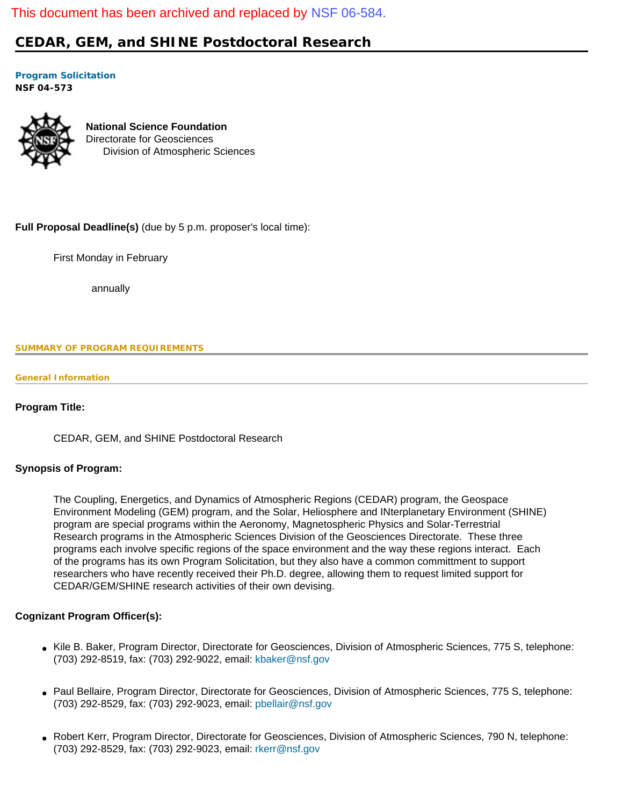# This document has been archived and replaced b[y NSF 06-584.](http://www.nsf.gov/publications/pub_summ.jsp?ods_key=nsf06584)

# **CEDAR, GEM, and SHINE Postdoctoral Research**

**[Program Solicitation](#page-2-0)  NSF 04-573** 



**National Science Foundation** Directorate for Geosciences Division of Atmospheric Sciences

# **Full Proposal Deadline(s)** (due by 5 p.m. proposer's local time):

First Monday in February

annually

### <span id="page-0-0"></span>**SUMMARY OF PROGRAM REQUIREMENTS**

### **General Information**

# **Program Title:**

CEDAR, GEM, and SHINE Postdoctoral Research

## **Synopsis of Program:**

The Coupling, Energetics, and Dynamics of Atmospheric Regions (CEDAR) program, the Geospace Environment Modeling (GEM) program, and the Solar, Heliosphere and INterplanetary Environment (SHINE) program are special programs within the Aeronomy, Magnetospheric Physics and Solar-Terrestrial Research programs in the Atmospheric Sciences Division of the Geosciences Directorate. These three programs each involve specific regions of the space environment and the way these regions interact. Each of the programs has its own Program Solicitation, but they also have a common committment to support researchers who have recently received their Ph.D. degree, allowing them to request limited support for CEDAR/GEM/SHINE research activities of their own devising.

# **Cognizant Program Officer(s):**

- Kile B. Baker, Program Director, Directorate for Geosciences, Division of Atmospheric Sciences, 775 S, telephone: (703) 292-8519, fax: (703) 292-9022, email: [kbaker@nsf.gov](mailto:kbaker@nsf.gov)
- Paul Bellaire, Program Director, Directorate for Geosciences, Division of Atmospheric Sciences, 775 S, telephone: (703) 292-8529, fax: (703) 292-9023, email: [pbellair@nsf.gov](mailto:pbellair@nsf.gov)
- Robert Kerr, Program Director, Directorate for Geosciences, Division of Atmospheric Sciences, 790 N, telephone: (703) 292-8529, fax: (703) 292-9023, email: [rkerr@nsf.gov](mailto:rkerr@nsf.gov)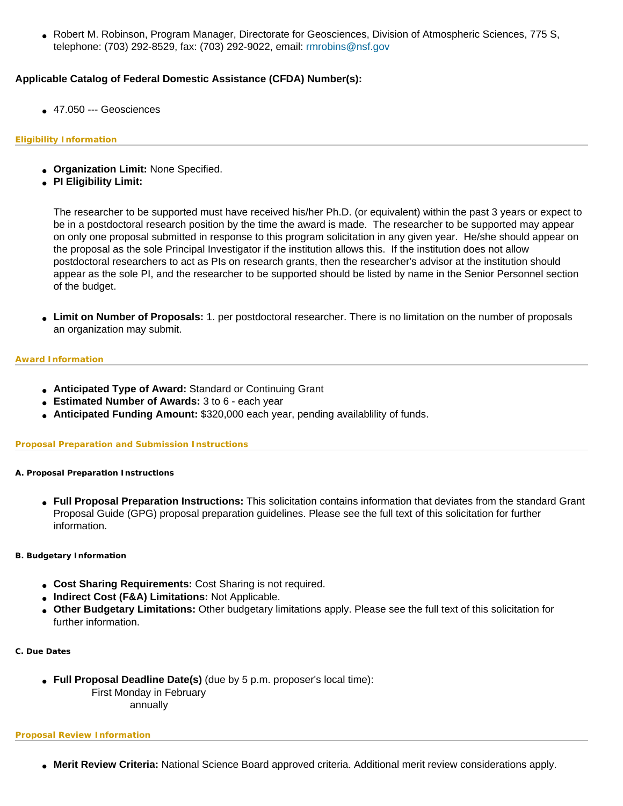● Robert M. Robinson, Program Manager, Directorate for Geosciences, Division of Atmospheric Sciences, 775 S, telephone: (703) 292-8529, fax: (703) 292-9022, email: [rmrobins@nsf.gov](mailto:rmrobins@nsf.gov)

# **Applicable Catalog of Federal Domestic Assistance (CFDA) Number(s):**

• 47.050 --- Geosciences

### **Eligibility Information**

- **Organization Limit:** None Specified.
- **PI Eligibility Limit:**

The researcher to be supported must have received his/her Ph.D. (or equivalent) within the past 3 years or expect to be in a postdoctoral research position by the time the award is made. The researcher to be supported may appear on only one proposal submitted in response to this program solicitation in any given year. He/she should appear on the proposal as the sole Principal Investigator if the institution allows this. If the institution does not allow postdoctoral researchers to act as PIs on research grants, then the researcher's advisor at the institution should appear as the sole PI, and the researcher to be supported should be listed by name in the Senior Personnel section of the budget.

● **Limit on Number of Proposals:** 1. per postdoctoral researcher. There is no limitation on the number of proposals an organization may submit.

### **Award Information**

- **Anticipated Type of Award:** Standard or Continuing Grant
- Estimated Number of Awards: 3 to 6 each year
- **Anticipated Funding Amount:** \$320,000 each year, pending availablility of funds.

### **Proposal Preparation and Submission Instructions**

### **A. Proposal Preparation Instructions**

● **Full Proposal Preparation Instructions:** This solicitation contains information that deviates from the standard Grant Proposal Guide (GPG) proposal preparation guidelines. Please see the full text of this solicitation for further information.

## **B. Budgetary Information**

- Cost Sharing Requirements: Cost Sharing is not required.
- **Indirect Cost (F&A) Limitations:** Not Applicable.
- **Other Budgetary Limitations:** Other budgetary limitations apply. Please see the full text of this solicitation for further information.
- **C. Due Dates**
	- **Full Proposal Deadline Date(s)** (due by 5 p.m. proposer's local time): First Monday in February annually

### **Proposal Review Information**

● **Merit Review Criteria:** National Science Board approved criteria. Additional merit review considerations apply.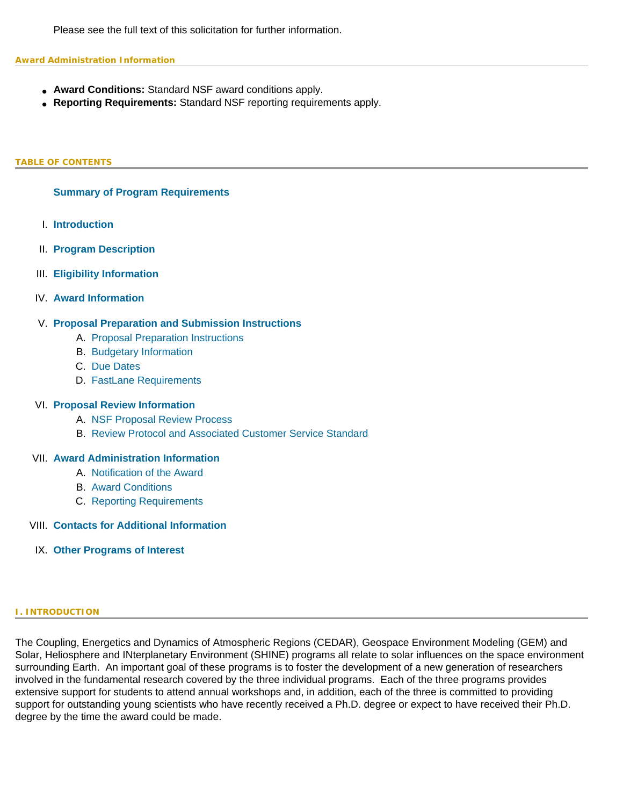Please see the full text of this solicitation for further information.

### **Award Administration Information**

- **Award Conditions:** Standard NSF award conditions apply.
- **Reporting Requirements:** Standard NSF reporting requirements apply.

### <span id="page-2-0"></span>**TABLE OF CONTENTS**

# **[Summary of Program Requirements](#page-0-0)**

- I. **[Introduction](#page-2-1)**
- II. **[Program Description](#page-2-2)**
- III. **[Eligibility Information](#page-3-0)**
- IV. **[Award Information](#page-3-1)**

## V. **[Proposal Preparation and Submission Instructions](#page-3-2)**

- A. [Proposal Preparation Instructions](#page-3-2)
- B. [Budgetary Information](#page-4-0)
- C. [Due Dates](#page-4-1)
- D. [FastLane Requirements](#page-4-2)

## VI. **[Proposal Review Information](#page-5-0)**

- A. [NSF Proposal Review Process](#page-5-1)
- B. [Review Protocol and Associated Customer Service Standard](#page-6-0)

## VII. **[Award Administration Information](#page-7-0)**

- A. [Notification of the Award](#page-7-1)
- B. [Award Conditions](#page-7-2)
- C. [Reporting Requirements](#page-7-3)

# VIII. **[Contacts for Additional Information](#page-7-4)**

IX. **[Other Programs of Interest](#page-8-0)**

## <span id="page-2-1"></span>**I. INTRODUCTION**

<span id="page-2-2"></span>The Coupling, Energetics and Dynamics of Atmospheric Regions (CEDAR), Geospace Environment Modeling (GEM) and Solar, Heliosphere and INterplanetary Environment (SHINE) programs all relate to solar influences on the space environment surrounding Earth. An important goal of these programs is to foster the development of a new generation of researchers involved in the fundamental research covered by the three individual programs. Each of the three programs provides extensive support for students to attend annual workshops and, in addition, each of the three is committed to providing support for outstanding young scientists who have recently received a Ph.D. degree or expect to have received their Ph.D. degree by the time the award could be made.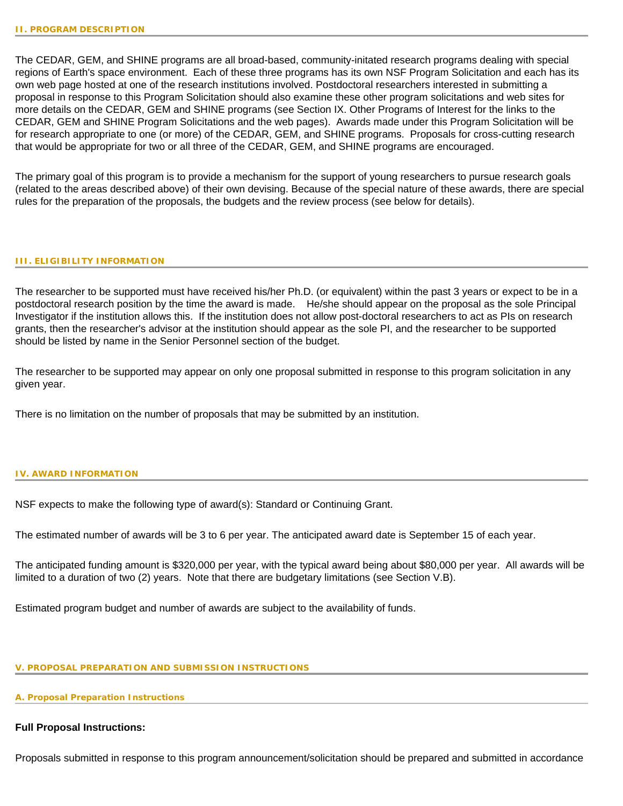The CEDAR, GEM, and SHINE programs are all broad-based, community-initated research programs dealing with special regions of Earth's space environment. Each of these three programs has its own NSF Program Solicitation and each has its own web page hosted at one of the research institutions involved. Postdoctoral researchers interested in submitting a proposal in response to this Program Solicitation should also examine these other program solicitations and web sites for more details on the CEDAR, GEM and SHINE programs (see Section IX. Other Programs of Interest for the links to the CEDAR, GEM and SHINE Program Solicitations and the web pages). Awards made under this Program Solicitation will be for research appropriate to one (or more) of the CEDAR, GEM, and SHINE programs. Proposals for cross-cutting research that would be appropriate for two or all three of the CEDAR, GEM, and SHINE programs are encouraged.

The primary goal of this program is to provide a mechanism for the support of young researchers to pursue research goals (related to the areas described above) of their own devising. Because of the special nature of these awards, there are special rules for the preparation of the proposals, the budgets and the review process (see below for details).

### <span id="page-3-0"></span>**III. ELIGIBILITY INFORMATION**

The researcher to be supported must have received his/her Ph.D. (or equivalent) within the past 3 years or expect to be in a postdoctoral research position by the time the award is made. He/she should appear on the proposal as the sole Principal Investigator if the institution allows this. If the institution does not allow post-doctoral researchers to act as PIs on research grants, then the researcher's advisor at the institution should appear as the sole PI, and the researcher to be supported should be listed by name in the Senior Personnel section of the budget.

The researcher to be supported may appear on only one proposal submitted in response to this program solicitation in any given year.

<span id="page-3-1"></span>There is no limitation on the number of proposals that may be submitted by an institution.

### **IV. AWARD INFORMATION**

NSF expects to make the following type of award(s): Standard or Continuing Grant.

The estimated number of awards will be 3 to 6 per year. The anticipated award date is September 15 of each year.

The anticipated funding amount is \$320,000 per year, with the typical award being about \$80,000 per year. All awards will be limited to a duration of two (2) years. Note that there are budgetary limitations (see Section V.B).

<span id="page-3-2"></span>Estimated program budget and number of awards are subject to the availability of funds.

# **V. PROPOSAL PREPARATION AND SUBMISSION INSTRUCTIONS**

# **A. Proposal Preparation Instructions**

# **Full Proposal Instructions:**

Proposals submitted in response to this program announcement/solicitation should be prepared and submitted in accordance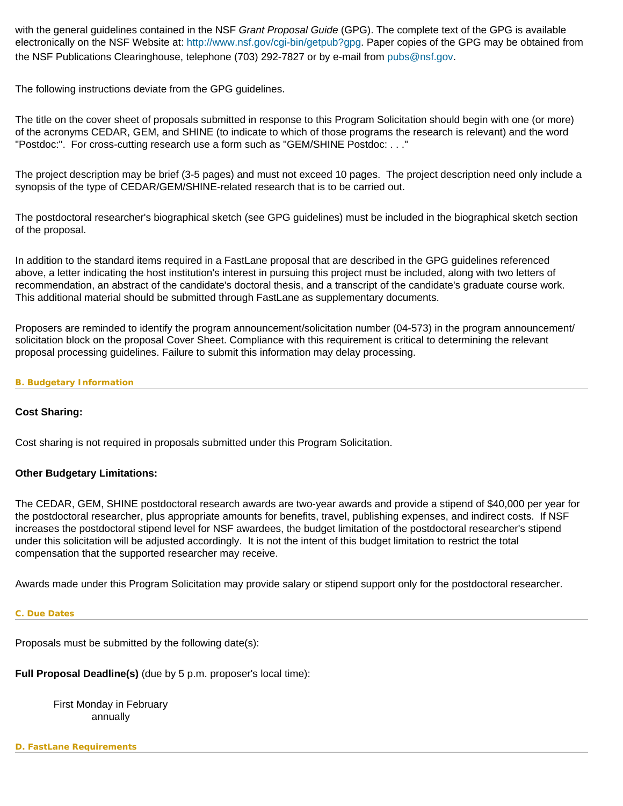with the general guidelines contained in the NSF *Grant Proposal Guide* (GPG). The complete text of the GPG is available electronically on the NSF Website at: [http://www.nsf.gov/cgi-bin/getpub?gpg.](http://www.nsf.gov/cgi-bin/getpub?gpg) Paper copies of the GPG may be obtained from the NSF Publications Clearinghouse, telephone (703) 292-7827 or by e-mail from [pubs@nsf.gov.](mailto:pubs@nsf.gov)

The following instructions deviate from the GPG guidelines.

The title on the cover sheet of proposals submitted in response to this Program Solicitation should begin with one (or more) of the acronyms CEDAR, GEM, and SHINE (to indicate to which of those programs the research is relevant) and the word "Postdoc:". For cross-cutting research use a form such as "GEM/SHINE Postdoc: . . ."

The project description may be brief (3-5 pages) and must not exceed 10 pages. The project description need only include a synopsis of the type of CEDAR/GEM/SHINE-related research that is to be carried out.

The postdoctoral researcher's biographical sketch (see GPG guidelines) must be included in the biographical sketch section of the proposal.

In addition to the standard items required in a FastLane proposal that are described in the GPG guidelines referenced above, a letter indicating the host institution's interest in pursuing this project must be included, along with two letters of recommendation, an abstract of the candidate's doctoral thesis, and a transcript of the candidate's graduate course work. This additional material should be submitted through FastLane as supplementary documents.

Proposers are reminded to identify the program announcement/solicitation number (04-573) in the program announcement/ solicitation block on the proposal Cover Sheet. Compliance with this requirement is critical to determining the relevant proposal processing guidelines. Failure to submit this information may delay processing.

### <span id="page-4-0"></span>**B. Budgetary Information**

## **Cost Sharing:**

Cost sharing is not required in proposals submitted under this Program Solicitation.

## **Other Budgetary Limitations:**

The CEDAR, GEM, SHINE postdoctoral research awards are two-year awards and provide a stipend of \$40,000 per year for the postdoctoral researcher, plus appropriate amounts for benefits, travel, publishing expenses, and indirect costs. If NSF increases the postdoctoral stipend level for NSF awardees, the budget limitation of the postdoctoral researcher's stipend under this solicitation will be adjusted accordingly. It is not the intent of this budget limitation to restrict the total compensation that the supported researcher may receive.

Awards made under this Program Solicitation may provide salary or stipend support only for the postdoctoral researcher.

### <span id="page-4-1"></span>**C. Due Dates**

Proposals must be submitted by the following date(s):

**Full Proposal Deadline(s)** (due by 5 p.m. proposer's local time):

<span id="page-4-2"></span>First Monday in February annually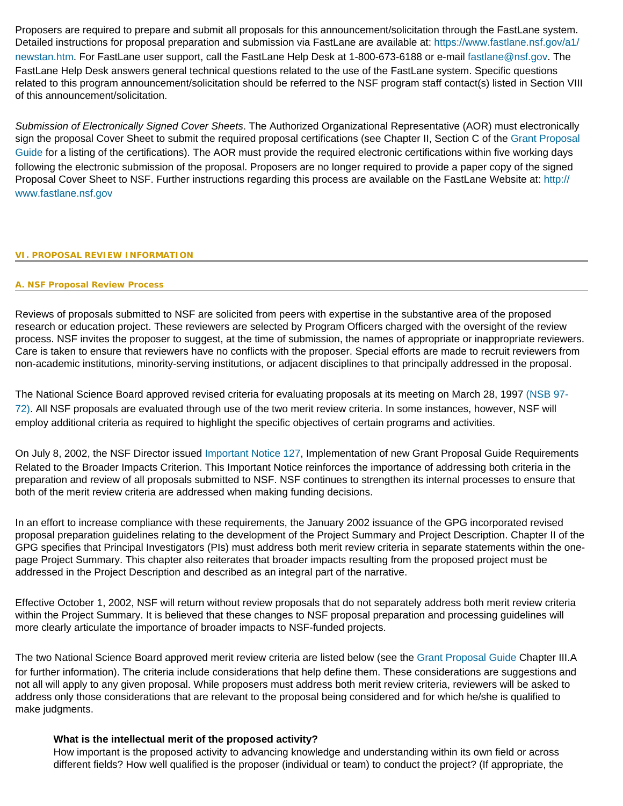Proposers are required to prepare and submit all proposals for this announcement/solicitation through the FastLane system. Detailed instructions for proposal preparation and submission via FastLane are available at: [https://www.fastlane.nsf.gov/a1/](https://www.fastlane.nsf.gov/a1/newstan.htm) [newstan.htm](https://www.fastlane.nsf.gov/a1/newstan.htm). For FastLane user support, call the FastLane Help Desk at 1-800-673-6188 or e-mail [fastlane@nsf.gov](mailto:fastlane@nsf.gov). The FastLane Help Desk answers general technical questions related to the use of the FastLane system. Specific questions related to this program announcement/solicitation should be referred to the NSF program staff contact(s) listed in Section VIII of this announcement/solicitation.

*Submission of Electronically Signed Cover Sheets*. The Authorized Organizational Representative (AOR) must electronically sign the proposal Cover Sheet to submit the required proposal certifications (see Chapter II, Section C of the [Grant Proposal](http://www.nsf.gov/pubsys/ods/getpub.cfm?gpg) [Guide](http://www.nsf.gov/pubsys/ods/getpub.cfm?gpg) for a listing of the certifications). The AOR must provide the required electronic certifications within five working days following the electronic submission of the proposal. Proposers are no longer required to provide a paper copy of the signed Proposal Cover Sheet to NSF. Further instructions regarding this process are available on the FastLane Website at: [http://](http://www.fastlane.nsf.gov/) [www.fastlane.nsf.gov](http://www.fastlane.nsf.gov/)

### <span id="page-5-1"></span><span id="page-5-0"></span>**VI. PROPOSAL REVIEW INFORMATION**

### **A. NSF Proposal Review Process**

Reviews of proposals submitted to NSF are solicited from peers with expertise in the substantive area of the proposed research or education project. These reviewers are selected by Program Officers charged with the oversight of the review process. NSF invites the proposer to suggest, at the time of submission, the names of appropriate or inappropriate reviewers. Care is taken to ensure that reviewers have no conflicts with the proposer. Special efforts are made to recruit reviewers from non-academic institutions, minority-serving institutions, or adjacent disciplines to that principally addressed in the proposal.

The National Science Board approved revised criteria for evaluating proposals at its meeting on March 28, 1997 [\(NSB 97-](http://www.nsf.gov/pubsys/ods/getpub.cfm?nsb9772) [72\).](http://www.nsf.gov/pubsys/ods/getpub.cfm?nsb9772) All NSF proposals are evaluated through use of the two merit review criteria. In some instances, however, NSF will employ additional criteria as required to highlight the specific objectives of certain programs and activities.

On July 8, 2002, the NSF Director issued [Important Notice 127](http://www.nsf.gov/pubsys/ods/getpub.cfm?iin127), Implementation of new Grant Proposal Guide Requirements Related to the Broader Impacts Criterion. This Important Notice reinforces the importance of addressing both criteria in the preparation and review of all proposals submitted to NSF. NSF continues to strengthen its internal processes to ensure that both of the merit review criteria are addressed when making funding decisions.

In an effort to increase compliance with these requirements, the January 2002 issuance of the GPG incorporated revised proposal preparation guidelines relating to the development of the Project Summary and Project Description. Chapter II of the GPG specifies that Principal Investigators (PIs) must address both merit review criteria in separate statements within the onepage Project Summary. This chapter also reiterates that broader impacts resulting from the proposed project must be addressed in the Project Description and described as an integral part of the narrative.

Effective October 1, 2002, NSF will return without review proposals that do not separately address both merit review criteria within the Project Summary. It is believed that these changes to NSF proposal preparation and processing guidelines will more clearly articulate the importance of broader impacts to NSF-funded projects.

The two National Science Board approved merit review criteria are listed below (see the [Grant Proposal Guide](http://www.nsf.gov/pubsys/ods/getpub.cfm?gpg) Chapter III.A for further information). The criteria include considerations that help define them. These considerations are suggestions and not all will apply to any given proposal. While proposers must address both merit review criteria, reviewers will be asked to address only those considerations that are relevant to the proposal being considered and for which he/she is qualified to make judgments.

## **What is the intellectual merit of the proposed activity?**

How important is the proposed activity to advancing knowledge and understanding within its own field or across different fields? How well qualified is the proposer (individual or team) to conduct the project? (If appropriate, the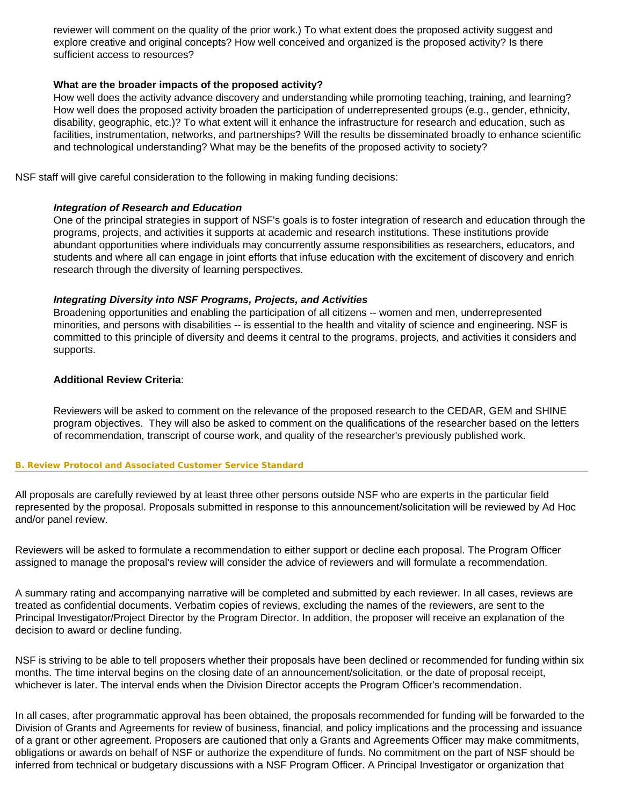reviewer will comment on the quality of the prior work.) To what extent does the proposed activity suggest and explore creative and original concepts? How well conceived and organized is the proposed activity? Is there sufficient access to resources?

# **What are the broader impacts of the proposed activity?**

How well does the activity advance discovery and understanding while promoting teaching, training, and learning? How well does the proposed activity broaden the participation of underrepresented groups (e.g., gender, ethnicity, disability, geographic, etc.)? To what extent will it enhance the infrastructure for research and education, such as facilities, instrumentation, networks, and partnerships? Will the results be disseminated broadly to enhance scientific and technological understanding? What may be the benefits of the proposed activity to society?

NSF staff will give careful consideration to the following in making funding decisions:

# *Integration of Research and Education*

One of the principal strategies in support of NSF's goals is to foster integration of research and education through the programs, projects, and activities it supports at academic and research institutions. These institutions provide abundant opportunities where individuals may concurrently assume responsibilities as researchers, educators, and students and where all can engage in joint efforts that infuse education with the excitement of discovery and enrich research through the diversity of learning perspectives.

# *Integrating Diversity into NSF Programs, Projects, and Activities*

Broadening opportunities and enabling the participation of all citizens -- women and men, underrepresented minorities, and persons with disabilities -- is essential to the health and vitality of science and engineering. NSF is committed to this principle of diversity and deems it central to the programs, projects, and activities it considers and supports.

# **Additional Review Criteria**:

Reviewers will be asked to comment on the relevance of the proposed research to the CEDAR, GEM and SHINE program objectives. They will also be asked to comment on the qualifications of the researcher based on the letters of recommendation, transcript of course work, and quality of the researcher's previously published work.

# <span id="page-6-0"></span>**B. Review Protocol and Associated Customer Service Standard**

All proposals are carefully reviewed by at least three other persons outside NSF who are experts in the particular field represented by the proposal. Proposals submitted in response to this announcement/solicitation will be reviewed by Ad Hoc and/or panel review.

Reviewers will be asked to formulate a recommendation to either support or decline each proposal. The Program Officer assigned to manage the proposal's review will consider the advice of reviewers and will formulate a recommendation.

A summary rating and accompanying narrative will be completed and submitted by each reviewer. In all cases, reviews are treated as confidential documents. Verbatim copies of reviews, excluding the names of the reviewers, are sent to the Principal Investigator/Project Director by the Program Director. In addition, the proposer will receive an explanation of the decision to award or decline funding.

NSF is striving to be able to tell proposers whether their proposals have been declined or recommended for funding within six months. The time interval begins on the closing date of an announcement/solicitation, or the date of proposal receipt, whichever is later. The interval ends when the Division Director accepts the Program Officer's recommendation.

In all cases, after programmatic approval has been obtained, the proposals recommended for funding will be forwarded to the Division of Grants and Agreements for review of business, financial, and policy implications and the processing and issuance of a grant or other agreement. Proposers are cautioned that only a Grants and Agreements Officer may make commitments, obligations or awards on behalf of NSF or authorize the expenditure of funds. No commitment on the part of NSF should be inferred from technical or budgetary discussions with a NSF Program Officer. A Principal Investigator or organization that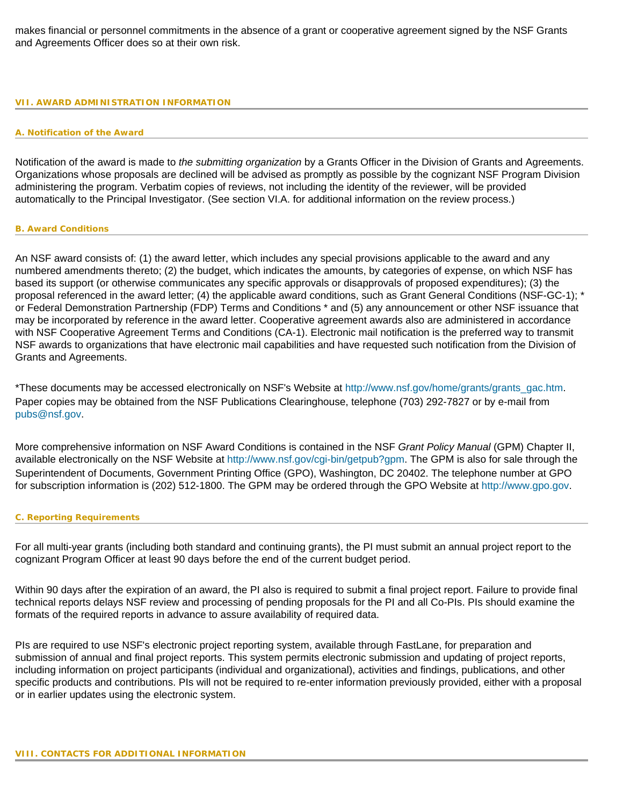makes financial or personnel commitments in the absence of a grant or cooperative agreement signed by the NSF Grants and Agreements Officer does so at their own risk.

#### <span id="page-7-1"></span><span id="page-7-0"></span>**VII. AWARD ADMINISTRATION INFORMATION**

#### **A. Notification of the Award**

Notification of the award is made to *the submitting organization* by a Grants Officer in the Division of Grants and Agreements. Organizations whose proposals are declined will be advised as promptly as possible by the cognizant NSF Program Division administering the program. Verbatim copies of reviews, not including the identity of the reviewer, will be provided automatically to the Principal Investigator. (See section VI.A. for additional information on the review process.)

### <span id="page-7-2"></span>**B. Award Conditions**

An NSF award consists of: (1) the award letter, which includes any special provisions applicable to the award and any numbered amendments thereto; (2) the budget, which indicates the amounts, by categories of expense, on which NSF has based its support (or otherwise communicates any specific approvals or disapprovals of proposed expenditures); (3) the proposal referenced in the award letter; (4) the applicable award conditions, such as Grant General Conditions (NSF-GC-1); \* or Federal Demonstration Partnership (FDP) Terms and Conditions \* and (5) any announcement or other NSF issuance that may be incorporated by reference in the award letter. Cooperative agreement awards also are administered in accordance with NSF Cooperative Agreement Terms and Conditions (CA-1). Electronic mail notification is the preferred way to transmit NSF awards to organizations that have electronic mail capabilities and have requested such notification from the Division of Grants and Agreements.

\*These documents may be accessed electronically on NSF's Website at [http://www.nsf.gov/home/grants/grants\\_gac.htm](http://www.nsf.gov/home/grants/grants_gac.htm). Paper copies may be obtained from the NSF Publications Clearinghouse, telephone (703) 292-7827 or by e-mail from [pubs@nsf.gov.](mailto:pubs@nsf.gov)

More comprehensive information on NSF Award Conditions is contained in the NSF *Grant Policy Manual* (GPM) Chapter II, available electronically on the NSF Website at [http://www.nsf.gov/cgi-bin/getpub?gpm.](http://www.nsf.gov/cgi-bin/getpub?gpm) The GPM is also for sale through the Superintendent of Documents, Government Printing Office (GPO), Washington, DC 20402. The telephone number at GPO for subscription information is (202) 512-1800. The GPM may be ordered through the GPO Website at [http://www.gpo.gov](http://www.gpo.gov/).

#### <span id="page-7-3"></span>**C. Reporting Requirements**

For all multi-year grants (including both standard and continuing grants), the PI must submit an annual project report to the cognizant Program Officer at least 90 days before the end of the current budget period.

Within 90 days after the expiration of an award, the PI also is required to submit a final project report. Failure to provide final technical reports delays NSF review and processing of pending proposals for the PI and all Co-PIs. PIs should examine the formats of the required reports in advance to assure availability of required data.

<span id="page-7-4"></span>PIs are required to use NSF's electronic project reporting system, available through FastLane, for preparation and submission of annual and final project reports. This system permits electronic submission and updating of project reports, including information on project participants (individual and organizational), activities and findings, publications, and other specific products and contributions. PIs will not be required to re-enter information previously provided, either with a proposal or in earlier updates using the electronic system.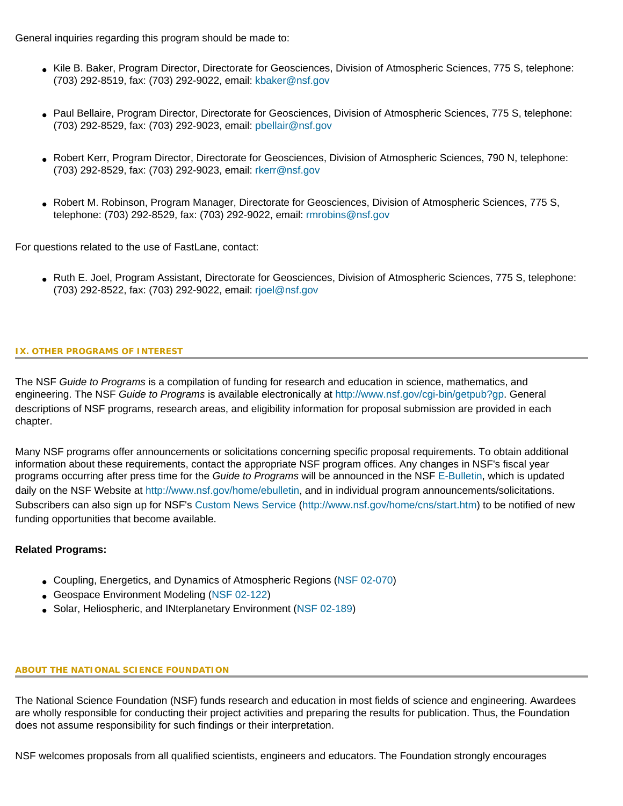General inquiries regarding this program should be made to:

- Kile B. Baker, Program Director, Directorate for Geosciences, Division of Atmospheric Sciences, 775 S, telephone: (703) 292-8519, fax: (703) 292-9022, email: [kbaker@nsf.gov](mailto:kbaker@nsf.gov)
- Paul Bellaire, Program Director, Directorate for Geosciences, Division of Atmospheric Sciences, 775 S, telephone: (703) 292-8529, fax: (703) 292-9023, email: [pbellair@nsf.gov](mailto:pbellair@nsf.gov)
- Robert Kerr, Program Director, Directorate for Geosciences, Division of Atmospheric Sciences, 790 N, telephone: (703) 292-8529, fax: (703) 292-9023, email: [rkerr@nsf.gov](mailto:rkerr@nsf.gov)
- Robert M. Robinson, Program Manager, Directorate for Geosciences, Division of Atmospheric Sciences, 775 S, telephone: (703) 292-8529, fax: (703) 292-9022, email: [rmrobins@nsf.gov](mailto:rmrobins@nsf.gov)

For questions related to the use of FastLane, contact:

● Ruth E. Joel, Program Assistant, Directorate for Geosciences, Division of Atmospheric Sciences, 775 S, telephone: (703) 292-8522, fax: (703) 292-9022, email: [rjoel@nsf.gov](mailto:rjoel@nsf.gov)

### <span id="page-8-0"></span>**IX. OTHER PROGRAMS OF INTEREST**

The NSF *Guide to Programs* is a compilation of funding for research and education in science, mathematics, and engineering. The NSF *Guide to Programs* is available electronically at <http://www.nsf.gov/cgi-bin/getpub?gp>. General descriptions of NSF programs, research areas, and eligibility information for proposal submission are provided in each chapter.

Many NSF programs offer announcements or solicitations concerning specific proposal requirements. To obtain additional information about these requirements, contact the appropriate NSF program offices. Any changes in NSF's fiscal year programs occurring after press time for the *Guide to Programs* will be announced in the NSF [E-Bulletin](http://www.nsf.gov/home/ebulletin), which is updated daily on the NSF Website at<http://www.nsf.gov/home/ebulletin>, and in individual program announcements/solicitations. Subscribers can also sign up for NSF's [Custom News Service](http://www.nsf.gov/home/cns/start.htm) [\(http://www.nsf.gov/home/cns/start.htm\)](http://www.nsf.gov/home/cns/start.htm) to be notified of new funding opportunities that become available.

## **Related Programs:**

- Coupling, Energetics, and Dynamics of Atmospheric Regions ([NSF 02-070](http://www.nsf.gov/cgi-bin/getpub?nsf02070))
- Geospace Environment Modeling [\(NSF 02-122\)](http://www.nsf.gov/cgi-bin/getpub?nsf02122)
- Solar, Heliospheric, and INterplanetary Environment ([NSF 02-189](http://www.nsf.gov/cgi-bin/getpub?nsf02189))

### **ABOUT THE NATIONAL SCIENCE FOUNDATION**

The National Science Foundation (NSF) funds research and education in most fields of science and engineering. Awardees are wholly responsible for conducting their project activities and preparing the results for publication. Thus, the Foundation does not assume responsibility for such findings or their interpretation.

NSF welcomes proposals from all qualified scientists, engineers and educators. The Foundation strongly encourages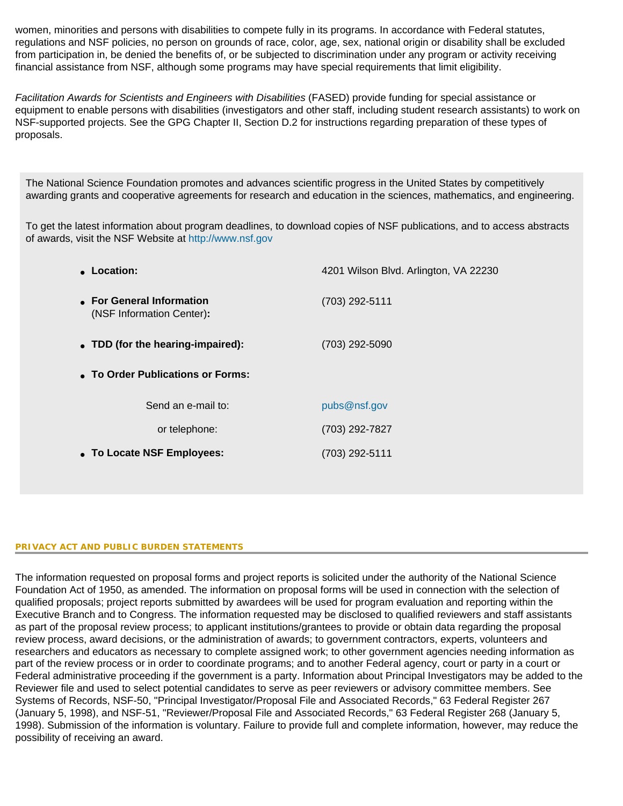women, minorities and persons with disabilities to compete fully in its programs. In accordance with Federal statutes, regulations and NSF policies, no person on grounds of race, color, age, sex, national origin or disability shall be excluded from participation in, be denied the benefits of, or be subjected to discrimination under any program or activity receiving financial assistance from NSF, although some programs may have special requirements that limit eligibility.

*Facilitation Awards for Scientists and Engineers with Disabilities* (FASED) provide funding for special assistance or equipment to enable persons with disabilities (investigators and other staff, including student research assistants) to work on NSF-supported projects. See the GPG Chapter II, Section D.2 for instructions regarding preparation of these types of proposals.

The National Science Foundation promotes and advances scientific progress in the United States by competitively awarding grants and cooperative agreements for research and education in the sciences, mathematics, and engineering.

To get the latest information about program deadlines, to download copies of NSF publications, and to access abstracts of awards, visit the NSF Website at [http://www.nsf.gov](http://www.nsf.gov/)

| • Location:                                            | 4201 Wilson Blvd. Arlington, VA 22230 |
|--------------------------------------------------------|---------------------------------------|
| • For General Information<br>(NSF Information Center): | (703) 292-5111                        |
| • TDD (for the hearing-impaired):                      | (703) 292-5090                        |
| • To Order Publications or Forms:                      |                                       |
| Send an e-mail to:                                     | pubs@nsf.gov                          |
| or telephone:                                          | (703) 292-7827                        |
| • To Locate NSF Employees:                             | (703) 292-5111                        |
|                                                        |                                       |

### **PRIVACY ACT AND PUBLIC BURDEN STATEMENTS**

The information requested on proposal forms and project reports is solicited under the authority of the National Science Foundation Act of 1950, as amended. The information on proposal forms will be used in connection with the selection of qualified proposals; project reports submitted by awardees will be used for program evaluation and reporting within the Executive Branch and to Congress. The information requested may be disclosed to qualified reviewers and staff assistants as part of the proposal review process; to applicant institutions/grantees to provide or obtain data regarding the proposal review process, award decisions, or the administration of awards; to government contractors, experts, volunteers and researchers and educators as necessary to complete assigned work; to other government agencies needing information as part of the review process or in order to coordinate programs; and to another Federal agency, court or party in a court or Federal administrative proceeding if the government is a party. Information about Principal Investigators may be added to the Reviewer file and used to select potential candidates to serve as peer reviewers or advisory committee members. See Systems of Records, NSF-50, "Principal Investigator/Proposal File and Associated Records," 63 Federal Register 267 (January 5, 1998), and NSF-51, "Reviewer/Proposal File and Associated Records," 63 Federal Register 268 (January 5, 1998). Submission of the information is voluntary. Failure to provide full and complete information, however, may reduce the possibility of receiving an award.